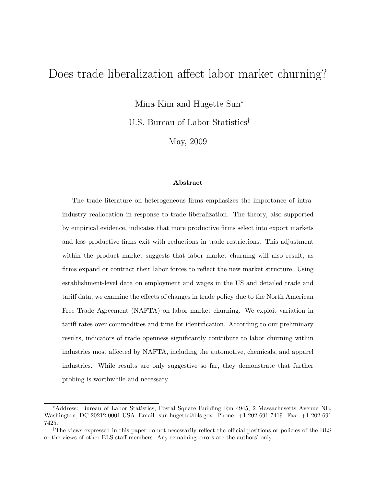# Does trade liberalization affect labor market churning?

Mina Kim and Hugette Sun<sup>∗</sup>

U.S. Bureau of Labor Statistics†

May, 2009

#### Abstract

The trade literature on heterogeneous firms emphasizes the importance of intraindustry reallocation in response to trade liberalization. The theory, also supported by empirical evidence, indicates that more productive firms select into export markets and less productive firms exit with reductions in trade restrictions. This adjustment within the product market suggests that labor market churning will also result, as firms expand or contract their labor forces to reflect the new market structure. Using establishment-level data on employment and wages in the US and detailed trade and tariff data, we examine the effects of changes in trade policy due to the North American Free Trade Agreement (NAFTA) on labor market churning. We exploit variation in tariff rates over commodities and time for identification. According to our preliminary results, indicators of trade openness significantly contribute to labor churning within industries most affected by NAFTA, including the automotive, chemicals, and apparel industries. While results are only suggestive so far, they demonstrate that further probing is worthwhile and necessary.

<sup>∗</sup>Address: Bureau of Labor Statistics, Postal Square Building Rm 4945, 2 Massachusetts Avenue NE, Washington, DC 20212-0001 USA. Email: sun.hugette@bls.gov. Phone: +1 202 691 7419. Fax: +1 202 691 7425.

<sup>†</sup>The views expressed in this paper do not necessarily reflect the official positions or policies of the BLS or the views of other BLS staff members. Any remaining errors are the authors' only.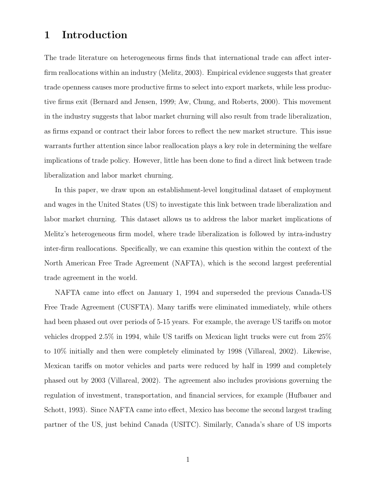# 1 Introduction

The trade literature on heterogeneous firms finds that international trade can affect interfirm reallocations within an industry (Melitz, 2003). Empirical evidence suggests that greater trade openness causes more productive firms to select into export markets, while less productive firms exit (Bernard and Jensen, 1999; Aw, Chung, and Roberts, 2000). This movement in the industry suggests that labor market churning will also result from trade liberalization, as firms expand or contract their labor forces to reflect the new market structure. This issue warrants further attention since labor reallocation plays a key role in determining the welfare implications of trade policy. However, little has been done to find a direct link between trade liberalization and labor market churning.

In this paper, we draw upon an establishment-level longitudinal dataset of employment and wages in the United States (US) to investigate this link between trade liberalization and labor market churning. This dataset allows us to address the labor market implications of Melitz's heterogeneous firm model, where trade liberalization is followed by intra-industry inter-firm reallocations. Specifically, we can examine this question within the context of the North American Free Trade Agreement (NAFTA), which is the second largest preferential trade agreement in the world.

NAFTA came into effect on January 1, 1994 and superseded the previous Canada-US Free Trade Agreement (CUSFTA). Many tariffs were eliminated immediately, while others had been phased out over periods of 5-15 years. For example, the average US tariffs on motor vehicles dropped 2.5% in 1994, while US tariffs on Mexican light trucks were cut from 25% to 10% initially and then were completely eliminated by 1998 (Villareal, 2002). Likewise, Mexican tariffs on motor vehicles and parts were reduced by half in 1999 and completely phased out by 2003 (Villareal, 2002). The agreement also includes provisions governing the regulation of investment, transportation, and financial services, for example (Hufbauer and Schott, 1993). Since NAFTA came into effect, Mexico has become the second largest trading partner of the US, just behind Canada (USITC). Similarly, Canada's share of US imports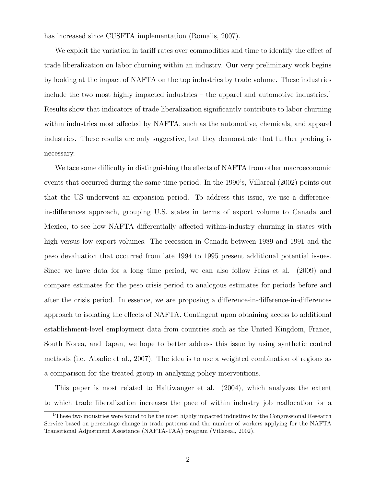has increased since CUSFTA implementation (Romalis, 2007).

We exploit the variation in tariff rates over commodities and time to identify the effect of trade liberalization on labor churning within an industry. Our very preliminary work begins by looking at the impact of NAFTA on the top industries by trade volume. These industries include the two most highly impacted industries – the apparel and automotive industries.<sup>1</sup> Results show that indicators of trade liberalization significantly contribute to labor churning within industries most affected by NAFTA, such as the automotive, chemicals, and apparel industries. These results are only suggestive, but they demonstrate that further probing is necessary.

We face some difficulty in distinguishing the effects of NAFTA from other macroeconomic events that occurred during the same time period. In the 1990's, Villareal (2002) points out that the US underwent an expansion period. To address this issue, we use a differencein-differences approach, grouping U.S. states in terms of export volume to Canada and Mexico, to see how NAFTA differentially affected within-industry churning in states with high versus low export volumes. The recession in Canada between 1989 and 1991 and the peso devaluation that occurred from late 1994 to 1995 present additional potential issues. Since we have data for a long time period, we can also follow Frías et al.  $(2009)$  and compare estimates for the peso crisis period to analogous estimates for periods before and after the crisis period. In essence, we are proposing a difference-in-difference-in-differences approach to isolating the effects of NAFTA. Contingent upon obtaining access to additional establishment-level employment data from countries such as the United Kingdom, France, South Korea, and Japan, we hope to better address this issue by using synthetic control methods (i.e. Abadie et al., 2007). The idea is to use a weighted combination of regions as a comparison for the treated group in analyzing policy interventions.

This paper is most related to Haltiwanger et al. (2004), which analyzes the extent to which trade liberalization increases the pace of within industry job reallocation for a

<sup>1</sup>These two industries were found to be the most highly impacted industires by the Congressional Research Service based on percentage change in trade patterns and the number of workers applying for the NAFTA Transitional Adjustment Assistance (NAFTA-TAA) program (Villareal, 2002).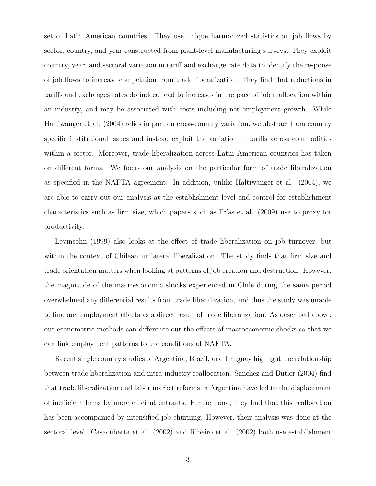set of Latin American countries. They use unique harmonized statistics on job flows by sector, country, and year constructed from plant-level manufacturing surveys. They exploit country, year, and sectoral variation in tariff and exchange rate data to identify the response of job flows to increase competition from trade liberalization. They find that reductions in tariffs and exchanges rates do indeed lead to increases in the pace of job reallocation within an industry, and may be associated with costs including net employment growth. While Haltiwanger et al. (2004) relies in part on cross-country variation, we abstract from country specific institutional issues and instead exploit the variation in tariffs across commodities within a sector. Moreover, trade liberalization across Latin American countries has taken on different forms. We focus our analysis on the particular form of trade liberalization as specified in the NAFTA agreement. In addition, unlike Haltiwanger et al. (2004), we are able to carry out our analysis at the establishment level and control for establishment characteristics such as firm size, which papers such as Frías et al.  $(2009)$  use to proxy for productivity.

Levinsohn (1999) also looks at the effect of trade liberalization on job turnover, but within the context of Chilean unilateral liberalization. The study finds that firm size and trade orientation matters when looking at patterns of job creation and destruction. However, the magnitude of the macroeconomic shocks experienced in Chile during the same period overwhelmed any differential results from trade liberalization, and thus the study was unable to find any employment effects as a direct result of trade liberalization. As described above, our econometric methods can difference out the effects of macroeconomic shocks so that we can link employment patterns to the conditions of NAFTA.

Recent single country studies of Argentina, Brazil, and Uruguay highlight the relationship between trade liberalization and intra-industry reallocation. Sanchez and Butler (2004) find that trade liberalization and labor market reforms in Argentina have led to the displacement of inefficient firms by more efficient entrants. Furthermore, they find that this reallocation has been accompanied by intensified job churning. However, their analysis was done at the sectoral level. Casacuberta et al. (2002) and Ribeiro et al. (2002) both use establishment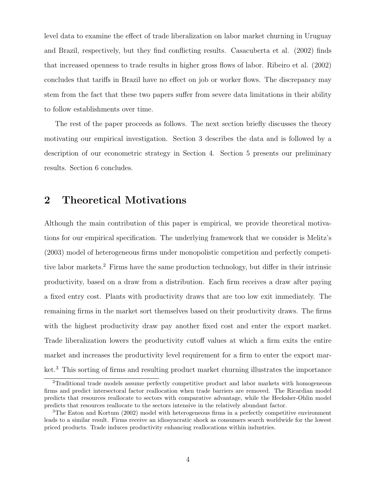level data to examine the effect of trade liberalization on labor market churning in Uruguay and Brazil, respectively, but they find conflicting results. Casacuberta et al. (2002) finds that increased openness to trade results in higher gross flows of labor. Ribeiro et al. (2002) concludes that tariffs in Brazil have no effect on job or worker flows. The discrepancy may stem from the fact that these two papers suffer from severe data limitations in their ability to follow establishments over time.

The rest of the paper proceeds as follows. The next section briefly discusses the theory motivating our empirical investigation. Section 3 describes the data and is followed by a description of our econometric strategy in Section 4. Section 5 presents our preliminary results. Section 6 concludes.

# 2 Theoretical Motivations

Although the main contribution of this paper is empirical, we provide theoretical motivations for our empirical specification. The underlying framework that we consider is Melitz's (2003) model of heterogeneous firms under monopolistic competition and perfectly competitive labor markets.<sup>2</sup> Firms have the same production technology, but differ in their intrinsic productivity, based on a draw from a distribution. Each firm receives a draw after paying a fixed entry cost. Plants with productivity draws that are too low exit immediately. The remaining firms in the market sort themselves based on their productivity draws. The firms with the highest productivity draw pay another fixed cost and enter the export market. Trade liberalization lowers the productivity cutoff values at which a firm exits the entire market and increases the productivity level requirement for a firm to enter the export market.<sup>3</sup> This sorting of firms and resulting product market churning illustrates the importance

<sup>2</sup>Traditional trade models assume perfectly competitive product and labor markets with homogeneous firms and predict intersectoral factor reallocation when trade barriers are removed. The Ricardian model predicts that resources reallocate to sectors with comparative advantage, while the Hecksher-Ohlin model predicts that resources reallocate to the sectors intensive in the relatively abundant factor.

<sup>3</sup>The Eaton and Kortum (2002) model with heterogeneous firms in a perfectly competitive environment leads to a similar result. Firms receive an idiosyncratic shock as consumers search worldwide for the lowest priced products. Trade induces productivity enhancing reallocations within industries.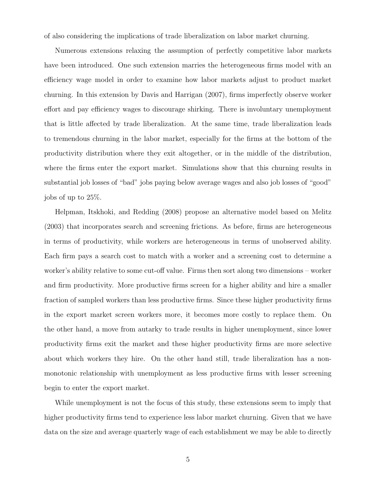of also considering the implications of trade liberalization on labor market churning.

Numerous extensions relaxing the assumption of perfectly competitive labor markets have been introduced. One such extension marries the heterogeneous firms model with an efficiency wage model in order to examine how labor markets adjust to product market churning. In this extension by Davis and Harrigan (2007), firms imperfectly observe worker effort and pay efficiency wages to discourage shirking. There is involuntary unemployment that is little affected by trade liberalization. At the same time, trade liberalization leads to tremendous churning in the labor market, especially for the firms at the bottom of the productivity distribution where they exit altogether, or in the middle of the distribution, where the firms enter the export market. Simulations show that this churning results in substantial job losses of "bad" jobs paying below average wages and also job losses of "good" jobs of up to 25%.

Helpman, Itskhoki, and Redding (2008) propose an alternative model based on Melitz (2003) that incorporates search and screening frictions. As before, firms are heterogeneous in terms of productivity, while workers are heterogeneous in terms of unobserved ability. Each firm pays a search cost to match with a worker and a screening cost to determine a worker's ability relative to some cut-off value. Firms then sort along two dimensions – worker and firm productivity. More productive firms screen for a higher ability and hire a smaller fraction of sampled workers than less productive firms. Since these higher productivity firms in the export market screen workers more, it becomes more costly to replace them. On the other hand, a move from autarky to trade results in higher unemployment, since lower productivity firms exit the market and these higher productivity firms are more selective about which workers they hire. On the other hand still, trade liberalization has a nonmonotonic relationship with unemployment as less productive firms with lesser screening begin to enter the export market.

While unemployment is not the focus of this study, these extensions seem to imply that higher productivity firms tend to experience less labor market churning. Given that we have data on the size and average quarterly wage of each establishment we may be able to directly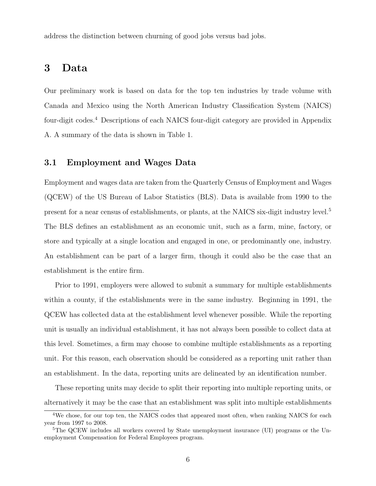address the distinction between churning of good jobs versus bad jobs.

### 3 Data

Our preliminary work is based on data for the top ten industries by trade volume with Canada and Mexico using the North American Industry Classification System (NAICS) four-digit codes.<sup>4</sup> Descriptions of each NAICS four-digit category are provided in Appendix A. A summary of the data is shown in Table 1.

#### 3.1 Employment and Wages Data

Employment and wages data are taken from the Quarterly Census of Employment and Wages (QCEW) of the US Bureau of Labor Statistics (BLS). Data is available from 1990 to the present for a near census of establishments, or plants, at the NAICS six-digit industry level.<sup>5</sup> The BLS defines an establishment as an economic unit, such as a farm, mine, factory, or store and typically at a single location and engaged in one, or predominantly one, industry. An establishment can be part of a larger firm, though it could also be the case that an establishment is the entire firm.

Prior to 1991, employers were allowed to submit a summary for multiple establishments within a county, if the establishments were in the same industry. Beginning in 1991, the QCEW has collected data at the establishment level whenever possible. While the reporting unit is usually an individual establishment, it has not always been possible to collect data at this level. Sometimes, a firm may choose to combine multiple establishments as a reporting unit. For this reason, each observation should be considered as a reporting unit rather than an establishment. In the data, reporting units are delineated by an identification number.

These reporting units may decide to split their reporting into multiple reporting units, or alternatively it may be the case that an establishment was split into multiple establishments

<sup>&</sup>lt;sup>4</sup>We chose, for our top ten, the NAICS codes that appeared most often, when ranking NAICS for each year from 1997 to 2008.

<sup>&</sup>lt;sup>5</sup>The QCEW includes all workers covered by State unemployment insurance (UI) programs or the Unemployment Compensation for Federal Employees program.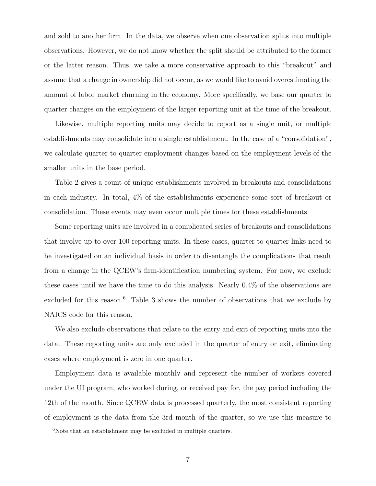and sold to another firm. In the data, we observe when one observation splits into multiple observations. However, we do not know whether the split should be attributed to the former or the latter reason. Thus, we take a more conservative approach to this "breakout" and assume that a change in ownership did not occur, as we would like to avoid overestimating the amount of labor market churning in the economy. More specifically, we base our quarter to quarter changes on the employment of the larger reporting unit at the time of the breakout.

Likewise, multiple reporting units may decide to report as a single unit, or multiple establishments may consolidate into a single establishment. In the case of a "consolidation", we calculate quarter to quarter employment changes based on the employment levels of the smaller units in the base period.

Table 2 gives a count of unique establishments involved in breakouts and consolidations in each industry. In total, 4% of the establishments experience some sort of breakout or consolidation. These events may even occur multiple times for these establishments.

Some reporting units are involved in a complicated series of breakouts and consolidations that involve up to over 100 reporting units. In these cases, quarter to quarter links need to be investigated on an individual basis in order to disentangle the complications that result from a change in the QCEW's firm-identification numbering system. For now, we exclude these cases until we have the time to do this analysis. Nearly 0.4% of the observations are excluded for this reason.<sup>6</sup> Table 3 shows the number of observations that we exclude by NAICS code for this reason.

We also exclude observations that relate to the entry and exit of reporting units into the data. These reporting units are only excluded in the quarter of entry or exit, eliminating cases where employment is zero in one quarter.

Employment data is available monthly and represent the number of workers covered under the UI program, who worked during, or received pay for, the pay period including the 12th of the month. Since QCEW data is processed quarterly, the most consistent reporting of employment is the data from the 3rd month of the quarter, so we use this measure to

<sup>&</sup>lt;sup>6</sup>Note that an establishment may be excluded in multiple quarters.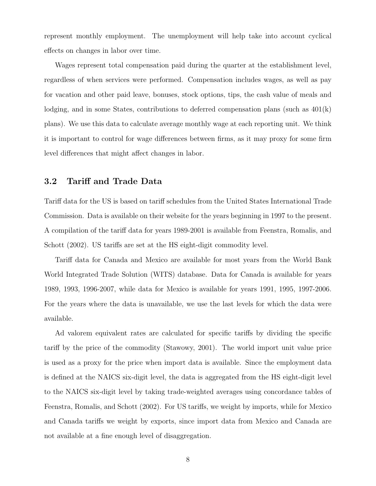represent monthly employment. The unemployment will help take into account cyclical effects on changes in labor over time.

Wages represent total compensation paid during the quarter at the establishment level, regardless of when services were performed. Compensation includes wages, as well as pay for vacation and other paid leave, bonuses, stock options, tips, the cash value of meals and lodging, and in some States, contributions to deferred compensation plans (such as 401(k) plans). We use this data to calculate average monthly wage at each reporting unit. We think it is important to control for wage differences between firms, as it may proxy for some firm level differences that might affect changes in labor.

### 3.2 Tariff and Trade Data

Tariff data for the US is based on tariff schedules from the United States International Trade Commission. Data is available on their website for the years beginning in 1997 to the present. A compilation of the tariff data for years 1989-2001 is available from Feenstra, Romalis, and Schott (2002). US tariffs are set at the HS eight-digit commodity level.

Tariff data for Canada and Mexico are available for most years from the World Bank World Integrated Trade Solution (WITS) database. Data for Canada is available for years 1989, 1993, 1996-2007, while data for Mexico is available for years 1991, 1995, 1997-2006. For the years where the data is unavailable, we use the last levels for which the data were available.

Ad valorem equivalent rates are calculated for specific tariffs by dividing the specific tariff by the price of the commodity (Stawowy, 2001). The world import unit value price is used as a proxy for the price when import data is available. Since the employment data is defined at the NAICS six-digit level, the data is aggregated from the HS eight-digit level to the NAICS six-digit level by taking trade-weighted averages using concordance tables of Feenstra, Romalis, and Schott (2002). For US tariffs, we weight by imports, while for Mexico and Canada tariffs we weight by exports, since import data from Mexico and Canada are not available at a fine enough level of disaggregation.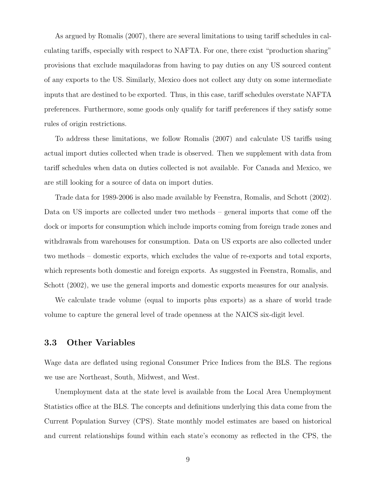As argued by Romalis (2007), there are several limitations to using tariff schedules in calculating tariffs, especially with respect to NAFTA. For one, there exist "production sharing" provisions that exclude maquiladoras from having to pay duties on any US sourced content of any exports to the US. Similarly, Mexico does not collect any duty on some intermediate inputs that are destined to be exported. Thus, in this case, tariff schedules overstate NAFTA preferences. Furthermore, some goods only qualify for tariff preferences if they satisfy some rules of origin restrictions.

To address these limitations, we follow Romalis (2007) and calculate US tariffs using actual import duties collected when trade is observed. Then we supplement with data from tariff schedules when data on duties collected is not available. For Canada and Mexico, we are still looking for a source of data on import duties.

Trade data for 1989-2006 is also made available by Feenstra, Romalis, and Schott (2002). Data on US imports are collected under two methods – general imports that come off the dock or imports for consumption which include imports coming from foreign trade zones and withdrawals from warehouses for consumption. Data on US exports are also collected under two methods – domestic exports, which excludes the value of re-exports and total exports, which represents both domestic and foreign exports. As suggested in Feenstra, Romalis, and Schott (2002), we use the general imports and domestic exports measures for our analysis.

We calculate trade volume (equal to imports plus exports) as a share of world trade volume to capture the general level of trade openness at the NAICS six-digit level.

#### 3.3 Other Variables

Wage data are deflated using regional Consumer Price Indices from the BLS. The regions we use are Northeast, South, Midwest, and West.

Unemployment data at the state level is available from the Local Area Unemployment Statistics office at the BLS. The concepts and definitions underlying this data come from the Current Population Survey (CPS). State monthly model estimates are based on historical and current relationships found within each state's economy as reflected in the CPS, the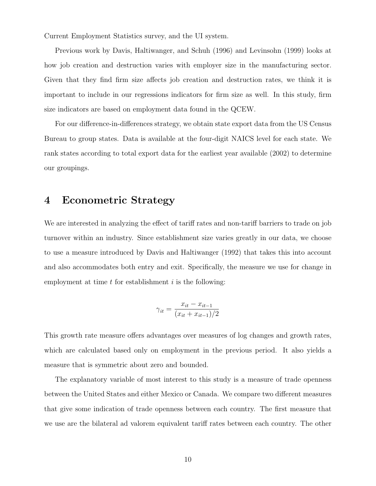Current Employment Statistics survey, and the UI system.

Previous work by Davis, Haltiwanger, and Schuh (1996) and Levinsohn (1999) looks at how job creation and destruction varies with employer size in the manufacturing sector. Given that they find firm size affects job creation and destruction rates, we think it is important to include in our regressions indicators for firm size as well. In this study, firm size indicators are based on employment data found in the QCEW.

For our difference-in-differences strategy, we obtain state export data from the US Census Bureau to group states. Data is available at the four-digit NAICS level for each state. We rank states according to total export data for the earliest year available (2002) to determine our groupings.

### 4 Econometric Strategy

We are interested in analyzing the effect of tariff rates and non-tariff barriers to trade on job turnover within an industry. Since establishment size varies greatly in our data, we choose to use a measure introduced by Davis and Haltiwanger (1992) that takes this into account and also accommodates both entry and exit. Specifically, the measure we use for change in employment at time  $t$  for establishment  $i$  is the following:

$$
\gamma_{it} = \frac{x_{it} - x_{it-1}}{(x_{it} + x_{it-1})/2}
$$

This growth rate measure offers advantages over measures of log changes and growth rates, which are calculated based only on employment in the previous period. It also yields a measure that is symmetric about zero and bounded.

The explanatory variable of most interest to this study is a measure of trade openness between the United States and either Mexico or Canada. We compare two different measures that give some indication of trade openness between each country. The first measure that we use are the bilateral ad valorem equivalent tariff rates between each country. The other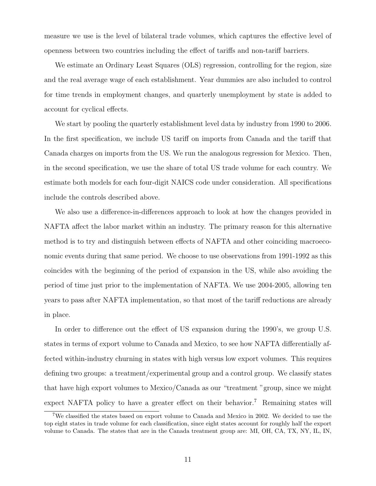measure we use is the level of bilateral trade volumes, which captures the effective level of openness between two countries including the effect of tariffs and non-tariff barriers.

We estimate an Ordinary Least Squares (OLS) regression, controlling for the region, size and the real average wage of each establishment. Year dummies are also included to control for time trends in employment changes, and quarterly unemployment by state is added to account for cyclical effects.

We start by pooling the quarterly establishment level data by industry from 1990 to 2006. In the first specification, we include US tariff on imports from Canada and the tariff that Canada charges on imports from the US. We run the analogous regression for Mexico. Then, in the second specification, we use the share of total US trade volume for each country. We estimate both models for each four-digit NAICS code under consideration. All specifications include the controls described above.

We also use a difference-in-differences approach to look at how the changes provided in NAFTA affect the labor market within an industry. The primary reason for this alternative method is to try and distinguish between effects of NAFTA and other coinciding macroeconomic events during that same period. We choose to use observations from 1991-1992 as this coincides with the beginning of the period of expansion in the US, while also avoiding the period of time just prior to the implementation of NAFTA. We use 2004-2005, allowing ten years to pass after NAFTA implementation, so that most of the tariff reductions are already in place.

In order to difference out the effect of US expansion during the 1990's, we group U.S. states in terms of export volume to Canada and Mexico, to see how NAFTA differentially affected within-industry churning in states with high versus low export volumes. This requires defining two groups: a treatment/experimental group and a control group. We classify states that have high export volumes to Mexico/Canada as our "treatment "group, since we might expect NAFTA policy to have a greater effect on their behavior.<sup>7</sup> Remaining states will

<sup>7</sup>We classified the states based on export volume to Canada and Mexico in 2002. We decided to use the top eight states in trade volume for each classification, since eight states account for roughly half the export volume to Canada. The states that are in the Canada treatment group are: MI, OH, CA, TX, NY, IL, IN,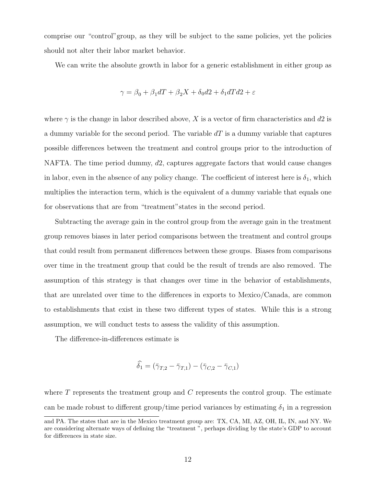comprise our "control"group, as they will be subject to the same policies, yet the policies should not alter their labor market behavior.

We can write the absolute growth in labor for a generic establishment in either group as

$$
\gamma = \beta_0 + \beta_1 dT + \beta_2 X + \delta_0 d2 + \delta_1 dT d2 + \varepsilon
$$

where  $\gamma$  is the change in labor described above, X is a vector of firm characteristics and d2 is a dummy variable for the second period. The variable  $dT$  is a dummy variable that captures possible differences between the treatment and control groups prior to the introduction of NAFTA. The time period dummy,  $d2$ , captures aggregate factors that would cause changes in labor, even in the absence of any policy change. The coefficient of interest here is  $\delta_1$ , which multiplies the interaction term, which is the equivalent of a dummy variable that equals one for observations that are from "treatment"states in the second period.

Subtracting the average gain in the control group from the average gain in the treatment group removes biases in later period comparisons between the treatment and control groups that could result from permanent differences between these groups. Biases from comparisons over time in the treatment group that could be the result of trends are also removed. The assumption of this strategy is that changes over time in the behavior of establishments, that are unrelated over time to the differences in exports to Mexico/Canada, are common to establishments that exist in these two different types of states. While this is a strong assumption, we will conduct tests to assess the validity of this assumption.

The difference-in-differences estimate is

$$
\widehat{\delta}_1 = (\bar{\gamma}_{T,2} - \bar{\gamma}_{T,1}) - (\bar{\gamma}_{C,2} - \bar{\gamma}_{C,1})
$$

where  $T$  represents the treatment group and  $C$  represents the control group. The estimate can be made robust to different group/time period variances by estimating  $\delta_1$  in a regression

and PA. The states that are in the Mexico treatment group are: TX, CA, MI, AZ, OH, IL, IN, and NY. We are considering alternate ways of defining the "treatment ", perhaps dividing by the state's GDP to account for differences in state size.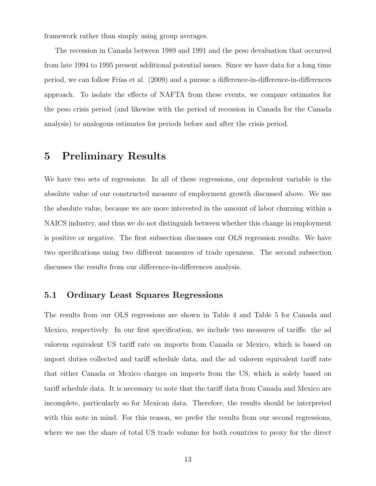framework rather than simply using group averages.

The recession in Canada between 1989 and 1991 and the peso devaluation that occurred from late 1994 to 1995 present additional potential issues. Since we have data for a long time period, we can follow Fr´ıas et al. (2009) and a pursue a difference-in-difference-in-differences approach. To isolate the effects of NAFTA from these events, we compare estimates for the peso crisis period (and likewise with the period of recession in Canada for the Canada analysis) to analogous estimates for periods before and after the crisis period.

### 5 Preliminary Results

We have two sets of regressions. In all of these regressions, our dependent variable is the absolute value of our constructed measure of employment growth discussed above. We use the absolute value, because we are more interested in the amount of labor churning within a NAICS industry, and thus we do not distinguish between whether this change in employment is positive or negative. The first subsection discusses our OLS regression results. We have two specifications using two different measures of trade openness. The second subsection discusses the results from our difference-in-differences analysis.

### 5.1 Ordinary Least Squares Regressions

The results from our OLS regressions are shown in Table 4 and Table 5 for Canada and Mexico, respectively. In our first specification, we include two measures of tariffs: the ad valorem equivalent US tariff rate on imports from Canada or Mexico, which is based on import duties collected and tariff schedule data, and the ad valorem equivalent tariff rate that either Canada or Mexico charges on imports from the US, which is solely based on tariff schedule data. It is necessary to note that the tariff data from Canada and Mexico are incomplete, particularly so for Mexican data. Therefore, the results should be interpreted with this note in mind. For this reason, we prefer the results from our second regressions, where we use the share of total US trade volume for both countries to proxy for the direct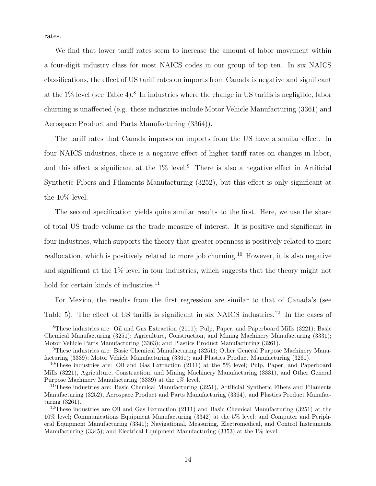rates.

We find that lower tariff rates seem to increase the amount of labor movement within a four-digit industry class for most NAICS codes in our group of top ten. In six NAICS classifications, the effect of US tariff rates on imports from Canada is negative and significant at the 1% level (see Table 4).<sup>8</sup> In industries where the change in US tariffs is negligible, labor churning is unaffected (e.g. these industries include Motor Vehicle Manufacturing (3361) and Aerospace Product and Parts Manufacturing (3364)).

The tariff rates that Canada imposes on imports from the US have a similar effect. In four NAICS industries, there is a negative effect of higher tariff rates on changes in labor, and this effect is significant at the  $1\%$  level.<sup>9</sup> There is also a negative effect in Artificial Synthetic Fibers and Filaments Manufacturing (3252), but this effect is only significant at the 10% level.

The second specification yields quite similar results to the first. Here, we use the share of total US trade volume as the trade measure of interest. It is positive and significant in four industries, which supports the theory that greater openness is positively related to more reallocation, which is positively related to more job churning.<sup>10</sup> However, it is also negative and significant at the 1% level in four industries, which suggests that the theory might not hold for certain kinds of industries. $^{11}$ 

For Mexico, the results from the first regression are similar to that of Canada's (see Table 5). The effect of US tariffs is significant in six NAICS industries.<sup>12</sup> In the cases of

<sup>8</sup>These industries are: Oil and Gas Extraction (2111); Pulp, Paper, and Paperboard Mills (3221); Basic Chemical Manufacturing (3251); Agriculture, Construction, and Mining Machinery Manufacturing (3331); Motor Vehicle Parts Manufacturing (3363); and Plastics Product Manufacturing (3261).

<sup>9</sup>These industries are: Basic Chemical Manufacturing (3251); Other General Purpose Machinery Manufacturing (3339); Motor Vehicle Manufacturing (3361); and Plastics Product Manufacturing (3261).

<sup>&</sup>lt;sup>10</sup>These industries are: Oil and Gas Extraction (2111) at the 5% level; Pulp, Paper, and Paperboard Mills (3221), Agriculture, Construction, and Mining Machinery Manufacturing (3331), and Other General Purpose Machinery Manufacturing (3339) at the 1% level.

<sup>&</sup>lt;sup>11</sup>These industries are: Basic Chemical Manufacturing (3251), Artificial Synthetic Fibers and Filaments Manufacturing (3252), Aerospace Product and Parts Manufacturing (3364), and Plastics Product Manufacturing (3261).

<sup>&</sup>lt;sup>12</sup>These industries are Oil and Gas Extraction (2111) and Basic Chemical Manufacturing (3251) at the 10% level; Communications Equipment Manufacturing (3342) at the 5% level; and Computer and Peripheral Equipment Manufacturing (3341); Navigational, Measuring, Electromedical, and Control Instruments Manufacturing (3345); and Electrical Equipment Manufacturing (3353) at the 1% level.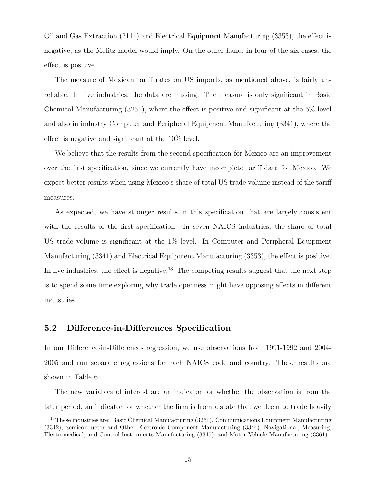Oil and Gas Extraction (2111) and Electrical Equipment Manufacturing (3353), the effect is negative, as the Melitz model would imply. On the other hand, in four of the six cases, the effect is positive.

The measure of Mexican tariff rates on US imports, as mentioned above, is fairly unreliable. In five industries, the data are missing. The measure is only significant in Basic Chemical Manufacturing (3251), where the effect is positive and significant at the 5% level and also in industry Computer and Peripheral Equipment Manufacturing (3341), where the effect is negative and significant at the 10% level.

We believe that the results from the second specification for Mexico are an improvement over the first specification, since we currently have incomplete tariff data for Mexico. We expect better results when using Mexico's share of total US trade volume instead of the tariff measures.

As expected, we have stronger results in this specification that are largely consistent with the results of the first specification. In seven NAICS industries, the share of total US trade volume is significant at the 1% level. In Computer and Peripheral Equipment Manufacturing (3341) and Electrical Equipment Manufacturing (3353), the effect is positive. In five industries, the effect is negative.<sup>13</sup> The competing results suggest that the next step is to spend some time exploring why trade openness might have opposing effects in different industries.

### 5.2 Difference-in-Differences Specification

In our Difference-in-Differences regression, we use observations from 1991-1992 and 2004- 2005 and run separate regressions for each NAICS code and country. These results are shown in Table 6.

The new variables of interest are an indicator for whether the observation is from the later period, an indicator for whether the firm is from a state that we deem to trade heavily

<sup>13</sup>These industries are: Basic Chemical Manufacturing (3251), Communications Equipment Manufacturing (3342), Semiconductor and Other Electronic Component Manufacturing (3344), Navigational, Measuring, Electromedical, and Control Instruments Manufacturing (3345), and Motor Vehicle Manufacturing (3361).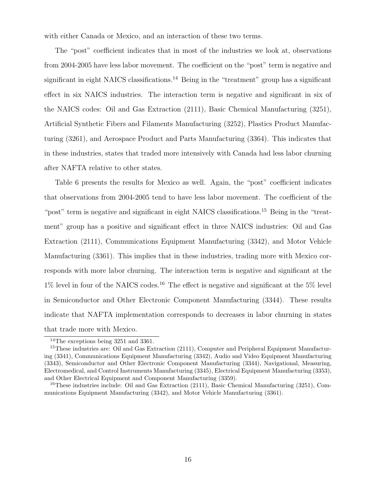with either Canada or Mexico, and an interaction of these two terms.

The "post" coefficient indicates that in most of the industries we look at, observations from 2004-2005 have less labor movement. The coefficient on the "post" term is negative and significant in eight NAICS classifications.<sup>14</sup> Being in the "treatment" group has a significant effect in six NAICS industries. The interaction term is negative and significant in six of the NAICS codes: Oil and Gas Extraction (2111), Basic Chemical Manufacturing (3251), Artificial Synthetic Fibers and Filaments Manufacturing (3252), Plastics Product Manufacturing (3261), and Aerospace Product and Parts Manufacturing (3364). This indicates that in these industries, states that traded more intensively with Canada had less labor churning after NAFTA relative to other states.

Table 6 presents the results for Mexico as well. Again, the "post" coefficient indicates that observations from 2004-2005 tend to have less labor movement. The coefficient of the "post" term is negative and significant in eight NAICS classifications.<sup>15</sup> Being in the "treatment" group has a positive and significant effect in three NAICS industries: Oil and Gas Extraction (2111), Communications Equipment Manufacturing (3342), and Motor Vehicle Manufacturing (3361). This implies that in these industries, trading more with Mexico corresponds with more labor churning. The interaction term is negative and significant at the  $1\%$  level in four of the NAICS codes.<sup>16</sup> The effect is negative and significant at the 5% level in Semiconductor and Other Electronic Component Manufacturing (3344). These results indicate that NAFTA implementation corresponds to decreases in labor churning in states that trade more with Mexico.

<sup>14</sup>The exceptions being 3251 and 3361.

<sup>&</sup>lt;sup>15</sup>These industries are: Oil and Gas Extraction (2111), Computer and Peripheral Equipment Manufacturing (3341), Communications Equipment Manufacturing (3342), Audio and Video Equipment Manufacturing (3343), Semiconductor and Other Electronic Component Manufacturing (3344), Navigational, Measuring, Electromedical, and Control Instruments Manufacturing (3345), Electrical Equipment Manufacturing (3353), and Other Electrical Equipment and Component Manufacturing (3359).

<sup>&</sup>lt;sup>16</sup>These industries include: Oil and Gas Extraction  $(2111)$ , Basic Chemical Manufacturing  $(3251)$ , Communications Equipment Manufacturing (3342), and Motor Vehicle Manufacturing (3361).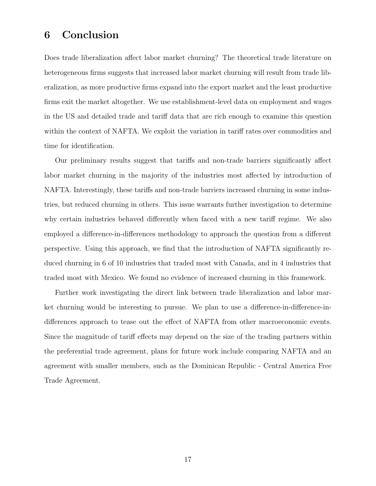# 6 Conclusion

Does trade liberalization affect labor market churning? The theoretical trade literature on heterogeneous firms suggests that increased labor market churning will result from trade liberalization, as more productive firms expand into the export market and the least productive firms exit the market altogether. We use establishment-level data on employment and wages in the US and detailed trade and tariff data that are rich enough to examine this question within the context of NAFTA. We exploit the variation in tariff rates over commodities and time for identification.

Our preliminary results suggest that tariffs and non-trade barriers significantly affect labor market churning in the majority of the industries most affected by introduction of NAFTA. Interestingly, these tariffs and non-trade barriers increased churning in some industries, but reduced churning in others. This issue warrants further investigation to determine why certain industries behaved differently when faced with a new tariff regime. We also employed a difference-in-differences methodology to approach the question from a different perspective. Using this approach, we find that the introduction of NAFTA significantly reduced churning in 6 of 10 industries that traded most with Canada, and in 4 industries that traded most with Mexico. We found no evidence of increased churning in this framework.

Further work investigating the direct link between trade liberalization and labor market churning would be interesting to pursue. We plan to use a difference-in-difference-indifferences approach to tease out the effect of NAFTA from other macroeconomic events. Since the magnitude of tariff effects may depend on the size of the trading partners within the preferential trade agreement, plans for future work include comparing NAFTA and an agreement with smaller members, such as the Dominican Republic - Central America Free Trade Agreement.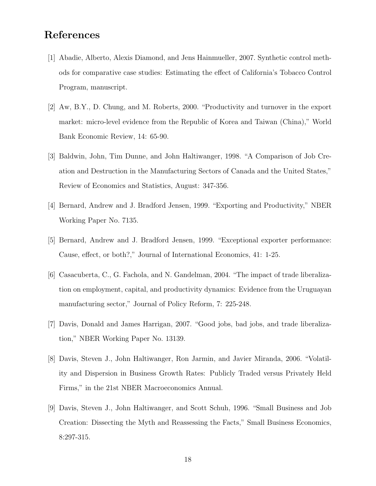# References

- [1] Abadie, Alberto, Alexis Diamond, and Jens Hainmueller, 2007. Synthetic control methods for comparative case studies: Estimating the effect of California's Tobacco Control Program, manuscript.
- [2] Aw, B.Y., D. Chung, and M. Roberts, 2000. "Productivity and turnover in the export market: micro-level evidence from the Republic of Korea and Taiwan (China)," World Bank Economic Review, 14: 65-90.
- [3] Baldwin, John, Tim Dunne, and John Haltiwanger, 1998. "A Comparison of Job Creation and Destruction in the Manufacturing Sectors of Canada and the United States," Review of Economics and Statistics, August: 347-356.
- [4] Bernard, Andrew and J. Bradford Jensen, 1999. "Exporting and Productivity," NBER Working Paper No. 7135.
- [5] Bernard, Andrew and J. Bradford Jensen, 1999. "Exceptional exporter performance: Cause, effect, or both?," Journal of International Economics, 41: 1-25.
- [6] Casacuberta, C., G. Fachola, and N. Gandelman, 2004. "The impact of trade liberalization on employment, capital, and productivity dynamics: Evidence from the Uruguayan manufacturing sector," Journal of Policy Reform, 7: 225-248.
- [7] Davis, Donald and James Harrigan, 2007. "Good jobs, bad jobs, and trade liberalization," NBER Working Paper No. 13139.
- [8] Davis, Steven J., John Haltiwanger, Ron Jarmin, and Javier Miranda, 2006. "Volatility and Dispersion in Business Growth Rates: Publicly Traded versus Privately Held Firms," in the 21st NBER Macroeconomics Annual.
- [9] Davis, Steven J., John Haltiwanger, and Scott Schuh, 1996. "Small Business and Job Creation: Dissecting the Myth and Reassessing the Facts," Small Business Economics, 8:297-315.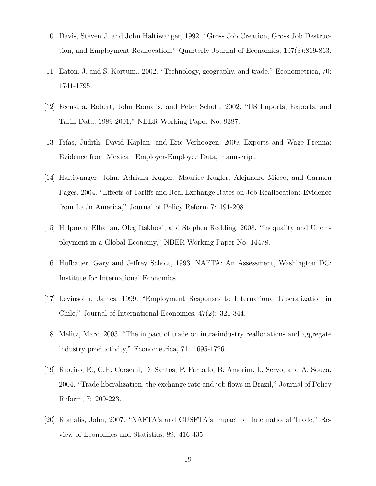- [10] Davis, Steven J. and John Haltiwanger, 1992. "Gross Job Creation, Gross Job Destruction, and Employment Reallocation," Quarterly Journal of Economics, 107(3):819-863.
- [11] Eaton, J. and S. Kortum., 2002. "Technology, geography, and trade," Econometrica, 70: 1741-1795.
- [12] Feenstra, Robert, John Romalis, and Peter Schott, 2002. "US Imports, Exports, and Tariff Data, 1989-2001," NBER Working Paper No. 9387.
- [13] Frías, Judith, David Kaplan, and Eric Verhoogen, 2009. Exports and Wage Premia: Evidence from Mexican Employer-Employee Data, manuscript.
- [14] Haltiwanger, John, Adriana Kugler, Maurice Kugler, Alejandro Micco, and Carmen Pages, 2004. "Effects of Tariffs and Real Exchange Rates on Job Reallocation: Evidence from Latin America," Journal of Policy Reform 7: 191-208.
- [15] Helpman, Elhanan, Oleg Itskhoki, and Stephen Redding, 2008. "Inequality and Unemployment in a Global Economy," NBER Working Paper No. 14478.
- [16] Hufbauer, Gary and Jeffrey Schott, 1993. NAFTA: An Assessment, Washington DC: Institute for International Economics.
- [17] Levinsohn, James, 1999. "Employment Responses to International Liberalization in Chile," Journal of International Economics, 47(2): 321-344.
- [18] Melitz, Marc, 2003. "The impact of trade on intra-industry reallocations and aggregate industry productivity," Econometrica, 71: 1695-1726.
- [19] Ribeiro, E., C.H. Corseuil, D. Santos, P. Furtado, B. Amorim, L. Servo, and A. Souza, 2004. "Trade liberalization, the exchange rate and job flows in Brazil," Journal of Policy Reform, 7: 209-223.
- [20] Romalis, John, 2007. "NAFTA's and CUSFTA's Impact on International Trade," Review of Economics and Statistics, 89: 416-435.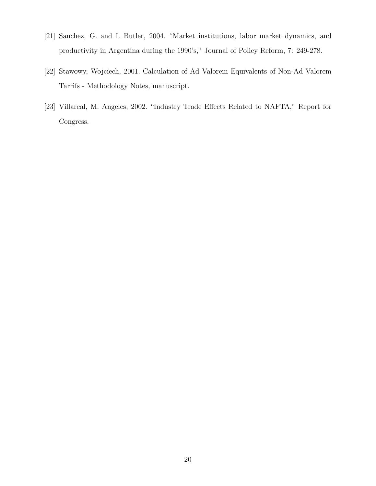- [21] Sanchez, G. and I. Butler, 2004. "Market institutions, labor market dynamics, and productivity in Argentina during the 1990's," Journal of Policy Reform, 7: 249-278.
- [22] Stawowy, Wojciech, 2001. Calculation of Ad Valorem Equivalents of Non-Ad Valorem Tarrifs - Methodology Notes, manuscript.
- [23] Villareal, M. Angeles, 2002. "Industry Trade Effects Related to NAFTA," Report for Congress.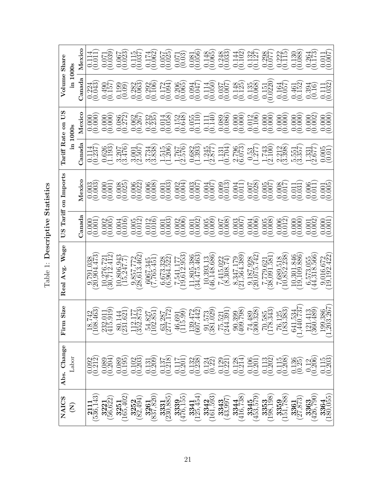Table 1: Descriptive Statistics Table 1: Descriptive Statistics

|                                       |                 | Mexicc             | (0.114)                                                    | (0.071)                                                   | (0.067)                         | $\begin{array}{c} 0.115 \\ 0.037) \\ 0.174 \\ 0.062 \end{array}$ |                                                                                      | (0.057)                                                            | $\left(\begin{matrix} 0.071 \\ 0.03 \end{matrix}\right)$ | (0.081)      |                                                                                                                                                                                                                                                                                                                                   |                            |                                                                            |                                  | 00 00 00 00 00 00 00 00 00<br>10 9:00 111 9:00 9:11 9:00 9:11 00:00<br>10 9:00 111 9:00 9:00 9:00 00 00                                                                                                                                                                                                             |                                                          |                                                                                                                                                                                                                                                                                                     |                       |                                                        |
|---------------------------------------|-----------------|--------------------|------------------------------------------------------------|-----------------------------------------------------------|---------------------------------|------------------------------------------------------------------|--------------------------------------------------------------------------------------|--------------------------------------------------------------------|----------------------------------------------------------|--------------|-----------------------------------------------------------------------------------------------------------------------------------------------------------------------------------------------------------------------------------------------------------------------------------------------------------------------------------|----------------------------|----------------------------------------------------------------------------|----------------------------------|---------------------------------------------------------------------------------------------------------------------------------------------------------------------------------------------------------------------------------------------------------------------------------------------------------------------|----------------------------------------------------------|-----------------------------------------------------------------------------------------------------------------------------------------------------------------------------------------------------------------------------------------------------------------------------------------------------|-----------------------|--------------------------------------------------------|
| Volume Share                          | $\ln 1000$ s    | Canada             | $0.224$<br>$0.043$                                         | $\begin{pmatrix} 0.190 \\ 0.157 \\ 0.09 \\ \end{pmatrix}$ |                                 | (0.282)                                                          | $\big( \begin{smallmatrix} 0.292 \\ 0.106 \\ 0.172 \\ 0.034 \end{smallmatrix} \big)$ |                                                                    | (0.206)                                                  | (0.0047)     |                                                                                                                                                                                                                                                                                                                                   |                            |                                                                            |                                  |                                                                                                                                                                                                                                                                                                                     |                                                          | $\begin{array}{c} 0.164 \\ 0.057 \\ 0.461 \\ 0.394 \\ 0.110 \\ 0.010 \\ 0.011 \\ 0.032 \\ 0.000 \\ 0.000 \\ 0.000 \\ 0.000 \\ 0.000 \\ 0.000 \\ 0.000 \\ 0.000 \\ 0.000 \\ 0.000 \\ 0.000 \\ 0.000 \\ 0.000 \\ 0.000 \\ 0.000 \\ 0.000 \\ 0.000 \\ 0.000 \\ 0.000 \\ 0.000 \\ 0.000 \\ 0.000 \\ 0.$ |                       |                                                        |
| SΩ<br>$\mathbf{a}$                    |                 | Mexico             | $\left( \begin{matrix} 0.000 \ 0.000 \end{matrix} \right)$ | 0.000                                                     | (0.986)                         | $\frac{0.062}{0.267}$                                            |                                                                                      |                                                                    |                                                          |              |                                                                                                                                                                                                                                                                                                                                   |                            | $\begin{array}{c} 0.000 \\ 0.000 \\ 0.012 \\ 0.106 \end{array}$            |                                  | $\begin{array}{c} 0.000 \\ 0.000 \\ 0.000 \end{array}$                                                                                                                                                                                                                                                              |                                                          | (0.000)                                                                                                                                                                                                                                                                                             | (0.0002)              | 0.000                                                  |
| Tariff Rate                           |                 | $\mathbb{C}$ anada | $\frac{0.114}{0.237}$                                      | (1.193)                                                   | $3.207$<br>$(3.476)$            | (3.001)                                                          | (3.734)                                                                              | (1.515)                                                            |                                                          |              | $\begin{array}{c} 1.767 \\ -0.983 \\ -0.993 \\ -0.000 \\ -0.000 \\ -0.000 \\ -0.000 \\ -0.000 \\ -0.000 \\ -0.000 \\ -0.000 \\ -0.000 \\ -0.000 \\ -0.000 \\ -0.000 \\ -0.000 \\ -0.000 \\ -0.000 \\ -0.000 \\ -0.000 \\ -0.000 \\ -0.000 \\ -0.000 \\ -0.000 \\ -0.000 \\ -0.000 \\ -0.000 \\ -0.000 \\ -0.000 \\ -0.000 \\ -0.$ |                            | 2.796                                                                      |                                  | 0.17130 100.000 100.000 100.000 100.000 100.000 100.000 100.000 100.000 100.000 100.000 100.000 100.000 100.00<br>0.17130 100.000 100.000 100.000 100.000 100.000 100.000 100.000 100.000 100.000 100.000 100.000 100.000 100.0<br>                                                                                 |                                                          |                                                                                                                                                                                                                                                                                                     |                       |                                                        |
| on Imports                            |                 | Mexicc             | $\frac{0.003}{0.003}$                                      | (0.0001)                                                  | $\binom{0.008}{0.025}$          | (0.006)                                                          | (0.006)                                                                              | (0.001)                                                            | (0.002)                                                  |              | $\begin{array}{c} 0.003 \\ 0.007 \\ 0.004 \\ 0.004 \\ 0.009 \\ 0.013 \end{array}$                                                                                                                                                                                                                                                 |                            |                                                                            |                                  | $\begin{array}{l} 0.004 \\[-4pt] 0.011 \\[-4pt] 0.005 \\[-4pt] 0.005 \\[-4pt] 0.005 \\[-4pt] 0.007 \\[-4pt] 0.007 \\[-4pt] 0.007 \\[-4pt] 0.007 \\[-4pt] 0.007 \\[-4pt] 0.007 \\[-4pt] 0.001 \\[-4pt] 0.001 \\[-4pt] 0.001 \\[-4pt] 0.001 \\[-4pt] 0.001 \\[-4pt] 0.001 \\[-4pt] 0.001 \\[-4pt] 0.001 \\[-4pt] 0.0$ |                                                          |                                                                                                                                                                                                                                                                                                     |                       | 000<br>001 005<br>000000                               |
| $\operatorname{Tariff}$<br><b>SCQ</b> |                 | Janada             | 0.001                                                      | $\frac{0.002}{0.005}$                                     | (0.004)                         | $\begin{array}{c} 0.005 \\ 0.012 \\ 0.013 \\ 0.016 \end{array}$  |                                                                                      | $\left(\begin{smallmatrix} 0.001\\ 0.003 \end{smallmatrix}\right)$ | $\frac{0.002}{0.006}$                                    | (0.001)      | $\big( \begin{matrix} 0.005 \\ 0.009 \end{matrix} \big)$                                                                                                                                                                                                                                                                          |                            | $\begin{array}{c} 0.007 \\ (0.003) \\ (0.003) \\ (0.007) \end{array}$      | (0.006)                          | (0.005)                                                                                                                                                                                                                                                                                                             | (0.006)                                                  | (0.000)                                                                                                                                                                                                                                                                                             |                       | $\begin{array}{c} 0.001 \\ 0.002 \\ 0.001 \end{array}$ |
| Wage<br>Avg.<br>Real                  |                 |                    | $\frac{791.038}{.904.473}$                                 | $\frac{10,276,721}{(30,712,412)}$                         | $\frac{10,806.943}{(15,247.7)}$ | $\frac{9,857.772}{(28,613.462)}$                                 | (7,765.451)                                                                          | $(6, 673.328)$<br>$(6, 964.522)$                                   | $\binom{7}{19},\!612,953)$                               | (34,475.463) | $\begin{array}{c} 10,393.13 \\ (46,148.686) \end{array}$                                                                                                                                                                                                                                                                          | $7415.022$<br>$(8,308.74)$ | $\left(\frac{8.347.179}{21,564.389}\right)$                                | $\frac{9.187.928}{(20,075.742)}$ | $7,779.621$<br>(38,091.581)                                                                                                                                                                                                                                                                                         | $\begin{array}{c} 7,689.518 \\ (10,852.238) \end{array}$ | 10,301.846<br>(19,109.886)                                                                                                                                                                                                                                                                          | (44,318.566)          | $\frac{9,016.672}{(19,192.422)}$                       |
| Size<br>$_{\rm Firm}$                 |                 |                    |                                                            |                                                           |                                 |                                                                  |                                                                                      |                                                                    |                                                          |              | $\begin{array}{l} [8.742\\ (108.463)\\ (108.463)\\ (31.501)\\ (31.521)\\ (31.573)\\ (31.573)\\ (102.851)\\ (102.851)\\ (102.851)\\ (102.851)\\ (115.9)\\ (115.9)\\ (115.9)\\ (115.73)\\ (115.73)\\ (115.73)\\ (115.73)\\ (115.73)\\ (115.73)\\ (115.73)\\ (115.73)\\ (115.73)\\ (115.$                                            |                            | $\begin{pmatrix} 90.399 \\ (409.798) \\ 74.489 \\ (300.328) \end{pmatrix}$ |                                  | $\begin{array}{c} .585 \\ .343 \\ .125 \\ .383 \end{array}$<br><b>PR PR3</b>                                                                                                                                                                                                                                        |                                                          | $1.534$<br>0.737)<br>$\begin{array}{c} 641 \\ 1,44 \\ 121 \\ 1360 \end{array}$                                                                                                                                                                                                                      | $\frac{1.413}{1.489}$ | 9.3867<br>$\frac{199}{120}$                            |
| Abs. Change                           | Labor           |                    | 00212<br>00212                                             | 0.204                                                     | 0.195                           | (0.102)                                                          | (0.131)                                                                              |                                                                    | 0.137<br>0.0.117<br>0.0.0.138<br>0.0.0.0.138             |              | (0.124)                                                                                                                                                                                                                                                                                                                           | (0.129)                    | 0.128                                                                      |                                  | $\begin{array}{c} 0.106 \\ 0.201 \\ 0.113 \\ 0.202 \end{array}$                                                                                                                                                                                                                                                     | $\frac{0.115}{0.208}$                                    | (0.136)                                                                                                                                                                                                                                                                                             | $\frac{0.12}{0.206}$  | $0.115$<br>$0.203$                                     |
| NAICS                                 | $\widehat{\Xi}$ |                    | (536, 143)                                                 | $3221$<br>$56.622$                                        | 165,402                         | (82, 494)                                                        | $(\overline{837},\overline{820})$                                                    | (230, 885)                                                         | (476, 155)                                               | 125,454      | (161,593)                                                                                                                                                                                                                                                                                                                         | $3343$<br>$(43,997)$       | (416, 738)                                                                 | (453,579)                        | (198, 198)                                                                                                                                                                                                                                                                                                          | (151, 788)                                               | $\frac{3361}{27,873}$                                                                                                                                                                                                                                                                               | (426, 790)            | 180,055                                                |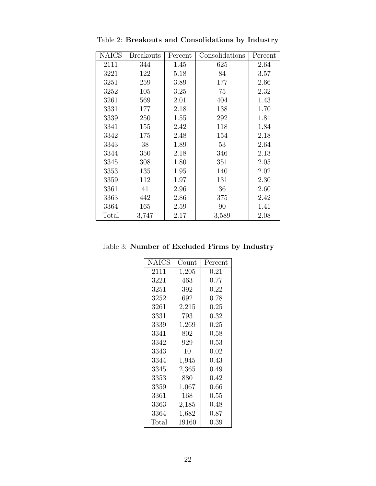| <b>NAICS</b> | <b>Breakouts</b> | Percent | Consolidations | Percent |
|--------------|------------------|---------|----------------|---------|
| 2111         | 344              | 1.45    | 625            | 2.64    |
| 3221         | 122              | 5.18    | 84             | 3.57    |
| 3251         | 259              | 3.89    | 177            | 2.66    |
| 3252         | 105              | 3.25    | 75             | 2.32    |
| 3261         | 569              | 2.01    | 404            | 1.43    |
| 3331         | 177              | 2.18    | 138            | 1.70    |
| 3339         | 250              | 1.55    | 292            | 1.81    |
| 3341         | 155              | 2.42    | 118            | 1.84    |
| 3342         | 175              | 2.48    | 154            | 2.18    |
| 3343         | 38               | 1.89    | 53             | 2.64    |
| 3344         | 350              | 2.18    | 346            | 2.13    |
| 3345         | 308              | 1.80    | 351            | 2.05    |
| 3353         | 135              | 1.95    | 140            | 2.02    |
| 3359         | 112              | 1.97    | 131            | 2.30    |
| 3361         | 41               | 2.96    | 36             | 2.60    |
| 3363         | 442              | 2.86    | 375            | 2.42    |
| 3364         | 165              | 2.59    | 90             | 1.41    |
| Total        | 3,747            | 2.17    | 3,589          | 2.08    |

Table 2: Breakouts and Consolidations by Industry

Table 3: Number of Excluded Firms by Industry

| <b>NAICS</b> | Count     | Percent  |
|--------------|-----------|----------|
| 2111         | 1,205     | 0.21     |
| 3221         | 463       | 0.77     |
| 3251         | 392       | $0.22\,$ |
| 3252         | 692       | 0.78     |
| 3261         | 2,215     | $0.25\,$ |
| 3331         | 793       | $0.32\,$ |
| 3339         | 1,269     | 0.25     |
| 3341         | 802       | $0.58\,$ |
| 3342         | 929       | 0.53     |
| 3343         | 10        | 0.02     |
| 3344         | 1,945     | 0.43     |
| 3345         | 2,365     | 0.49     |
| 3353         | 880       | 0.42     |
| 3359         | 1,067     | 0.66     |
| 3361         | 168       | $0.55\,$ |
| 3363         | $2{,}185$ | 0.48     |
| 3364         | 1,682     | 0.87     |
| Total        | 19160     | 0.39     |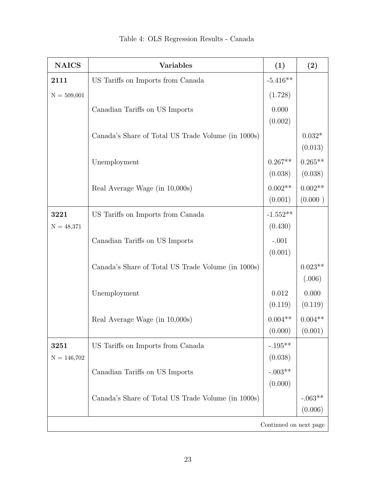| <b>NAICS</b>  | <b>Variables</b>                                   | (1)                | (2)       |  |  |  |  |  |
|---------------|----------------------------------------------------|--------------------|-----------|--|--|--|--|--|
| 2111          | US Tariffs on Imports from Canada                  | $-5.416**$         |           |  |  |  |  |  |
| $N = 509,001$ |                                                    | (1.728)            |           |  |  |  |  |  |
|               | Canadian Tariffs on US Imports                     | 0.000              |           |  |  |  |  |  |
|               |                                                    | (0.002)            |           |  |  |  |  |  |
|               | Canada's Share of Total US Trade Volume (in 1000s) |                    | $0.032*$  |  |  |  |  |  |
|               |                                                    |                    | (0.013)   |  |  |  |  |  |
|               | Unemployment                                       | $0.267**$          | $0.265**$ |  |  |  |  |  |
|               |                                                    | (0.038)            | (0.038)   |  |  |  |  |  |
|               | Real Average Wage (in 10,000s)                     | $0.002**$          | $0.002**$ |  |  |  |  |  |
|               |                                                    | (0.001)            | (0.000)   |  |  |  |  |  |
| 3221          | US Tariffs on Imports from Canada                  | $-1.552**$         |           |  |  |  |  |  |
| $N = 48,371$  |                                                    | (0.430)            |           |  |  |  |  |  |
|               | Canadian Tariffs on US Imports                     | $-.001$            |           |  |  |  |  |  |
|               |                                                    | (0.001)            |           |  |  |  |  |  |
|               | Canada's Share of Total US Trade Volume (in 1000s) |                    | $0.023**$ |  |  |  |  |  |
|               |                                                    |                    | (.006)    |  |  |  |  |  |
|               | Unemployment                                       | $0.012\,$          | 0.000     |  |  |  |  |  |
|               |                                                    | (0.119)            | (0.119)   |  |  |  |  |  |
|               | Real Average Wage (in 10,000s)                     | $0.004**$          | $0.004**$ |  |  |  |  |  |
|               |                                                    | (0.000)            | (0.001)   |  |  |  |  |  |
| 3251          | US Tariffs on Imports from Canada                  | $-.195^{\ast\ast}$ |           |  |  |  |  |  |
| $N = 146,702$ |                                                    | (0.038)            |           |  |  |  |  |  |
|               | Canadian Tariffs on US Imports                     | $-.003**$          |           |  |  |  |  |  |
|               |                                                    | (0.000)            |           |  |  |  |  |  |
|               | Canada's Share of Total US Trade Volume (in 1000s) |                    | $-.063**$ |  |  |  |  |  |
|               |                                                    |                    | (0.006)   |  |  |  |  |  |
|               | Continued on next page                             |                    |           |  |  |  |  |  |

# Table 4: OLS Regression Results - Canada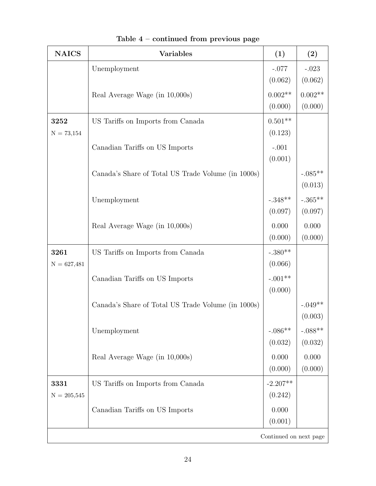| <b>NAICS</b>           | <b>Variables</b>                                   | (1)        | (2)       |  |  |  |
|------------------------|----------------------------------------------------|------------|-----------|--|--|--|
|                        | Unemployment                                       | $-.077$    | $-.023$   |  |  |  |
|                        |                                                    | (0.062)    | (0.062)   |  |  |  |
|                        | Real Average Wage (in 10,000s)                     | $0.002**$  | $0.002**$ |  |  |  |
|                        |                                                    | (0.000)    | (0.000)   |  |  |  |
| 3252                   | US Tariffs on Imports from Canada                  | $0.501**$  |           |  |  |  |
| $N = 73,154$           |                                                    | (0.123)    |           |  |  |  |
|                        | Canadian Tariffs on US Imports                     | $-.001$    |           |  |  |  |
|                        |                                                    | (0.001)    |           |  |  |  |
|                        | Canada's Share of Total US Trade Volume (in 1000s) |            | $-.085**$ |  |  |  |
|                        |                                                    |            | (0.013)   |  |  |  |
|                        | Unemployment                                       | $-.348**$  | $-.365**$ |  |  |  |
|                        |                                                    | (0.097)    | (0.097)   |  |  |  |
|                        | Real Average Wage (in 10,000s)                     | 0.000      | 0.000     |  |  |  |
|                        |                                                    | (0.000)    | (0.000)   |  |  |  |
| 3261                   | US Tariffs on Imports from Canada                  | $-.380**$  |           |  |  |  |
| $N = 627,481$          |                                                    | (0.066)    |           |  |  |  |
|                        | Canadian Tariffs on US Imports                     | $-.001**$  |           |  |  |  |
|                        |                                                    | (0.000)    |           |  |  |  |
|                        | Canada's Share of Total US Trade Volume (in 1000s) |            | $-.049**$ |  |  |  |
|                        |                                                    |            | (0.003)   |  |  |  |
|                        | Unemployment                                       | $-.086**$  | $-.088**$ |  |  |  |
|                        |                                                    | (0.032)    | (0.032)   |  |  |  |
|                        | Real Average Wage (in 10,000s)                     | 0.000      | 0.000     |  |  |  |
|                        |                                                    | (0.000)    | (0.000)   |  |  |  |
| 3331                   | US Tariffs on Imports from Canada                  | $-2.207**$ |           |  |  |  |
| $N = 205,545$          |                                                    | (0.242)    |           |  |  |  |
|                        | Canadian Tariffs on US Imports                     | 0.000      |           |  |  |  |
|                        |                                                    | (0.001)    |           |  |  |  |
| Continued on next page |                                                    |            |           |  |  |  |

| Table $4$ – continued from previous page |  |  |  |
|------------------------------------------|--|--|--|
|------------------------------------------|--|--|--|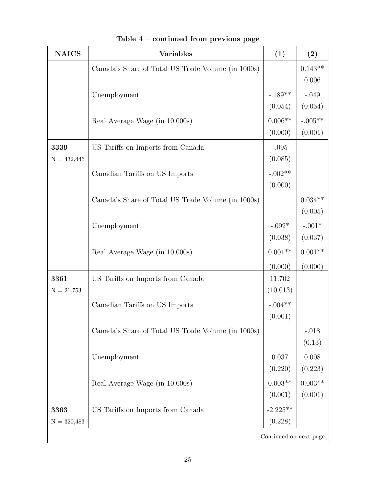| <b>NAICS</b>           | <b>Variables</b>                                   | (1)        | (2)          |  |  |  |
|------------------------|----------------------------------------------------|------------|--------------|--|--|--|
|                        | Canada's Share of Total US Trade Volume (in 1000s) |            | $0.143**$    |  |  |  |
|                        |                                                    |            | 0.006        |  |  |  |
|                        | Unemployment                                       | $-.189**$  | $-.049$      |  |  |  |
|                        |                                                    | (0.054)    | (0.054)      |  |  |  |
|                        | Real Average Wage (in 10,000s)                     | $0.006**$  | $-.005^{**}$ |  |  |  |
|                        |                                                    | (0.000)    | (0.001)      |  |  |  |
| 3339                   | US Tariffs on Imports from Canada                  | $-.095$    |              |  |  |  |
| $N = 432,446$          |                                                    | (0.085)    |              |  |  |  |
|                        | Canadian Tariffs on US Imports                     | $-.002**$  |              |  |  |  |
|                        |                                                    | (0.000)    |              |  |  |  |
|                        | Canada's Share of Total US Trade Volume (in 1000s) |            | $0.034**$    |  |  |  |
|                        |                                                    |            | (0.005)      |  |  |  |
|                        | Unemployment                                       | $-.092*$   | $-.001*$     |  |  |  |
|                        |                                                    | (0.038)    | (0.037)      |  |  |  |
|                        | Real Average Wage (in 10,000s)                     | $0.001**$  | $0.001**$    |  |  |  |
|                        |                                                    | (0.000)    | (0.000)      |  |  |  |
| 3361                   | US Tariffs on Imports from Canada                  | 11.702     |              |  |  |  |
| $N = 21,753$           |                                                    | (10.013)   |              |  |  |  |
|                        | Canadian Tariffs on US Imports                     | $-.004**$  |              |  |  |  |
|                        |                                                    | (0.001)    |              |  |  |  |
|                        | Canada's Share of Total US Trade Volume (in 1000s) |            | $-.018$      |  |  |  |
|                        |                                                    |            | (0.13)       |  |  |  |
|                        | Unemployment                                       | 0.037      | 0.008        |  |  |  |
|                        |                                                    | (0.220)    | (0.223)      |  |  |  |
|                        | Real Average Wage (in 10,000s)                     | $0.003**$  | $0.003**$    |  |  |  |
|                        |                                                    | (0.001)    | (0.001)      |  |  |  |
| 3363                   | US Tariffs on Imports from Canada                  | $-2.225**$ |              |  |  |  |
| $N = 320,483$          |                                                    | (0.228)    |              |  |  |  |
| Continued on next page |                                                    |            |              |  |  |  |

Table 4 – continued from previous page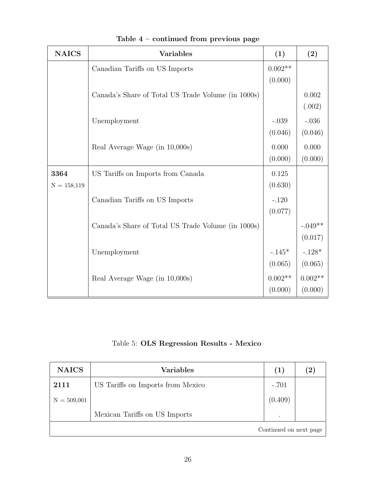| <b>NAICS</b>  | <b>Variables</b>                                   | (1)       | (2)       |
|---------------|----------------------------------------------------|-----------|-----------|
|               | Canadian Tariffs on US Imports                     | $0.002**$ |           |
|               |                                                    | (0.000)   |           |
|               | Canada's Share of Total US Trade Volume (in 1000s) |           | 0.002     |
|               |                                                    |           | (.002)    |
|               | Unemployment                                       | $-.039$   | $-.036$   |
|               |                                                    | (0.046)   | (0.046)   |
|               | Real Average Wage (in 10,000s)                     | 0.000     | 0.000     |
|               |                                                    | (0.000)   | (0.000)   |
| 3364          | US Tariffs on Imports from Canada                  | 0.125     |           |
| $N = 158,119$ |                                                    | (0.630)   |           |
|               | Canadian Tariffs on US Imports                     | $-.120$   |           |
|               |                                                    | (0.077)   |           |
|               | Canada's Share of Total US Trade Volume (in 1000s) |           | $-.049**$ |
|               |                                                    |           | (0.017)   |
|               | Unemployment                                       | $-.145*$  | $-.128*$  |
|               |                                                    | (0.065)   | (0.065)   |
|               | Real Average Wage (in 10,000s)                     | $0.002**$ | $0.002**$ |
|               |                                                    | (0.000)   | (0.000)   |

Table 4 – continued from previous page

Table 5: OLS Regression Results - Mexico

| <b>NAICS</b>           | <b>Variables</b>                  | (1)     | $\left( 2\right)$ |  |
|------------------------|-----------------------------------|---------|-------------------|--|
| 2111                   | US Tariffs on Imports from Mexico | $-.701$ |                   |  |
| $N = 509,001$          |                                   | (0.409) |                   |  |
|                        | Mexican Tariffs on US Imports     | $\cdot$ |                   |  |
| Continued on next page |                                   |         |                   |  |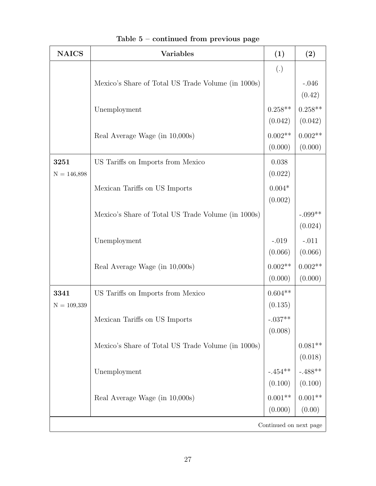| <b>NAICS</b>           | <b>Variables</b>                                   | (1)                 | (2)                  |  |  |  |
|------------------------|----------------------------------------------------|---------------------|----------------------|--|--|--|
|                        |                                                    | $\left( .\right)$   |                      |  |  |  |
|                        | Mexico's Share of Total US Trade Volume (in 1000s) |                     | $-.046$              |  |  |  |
|                        |                                                    |                     | (0.42)               |  |  |  |
|                        | Unemployment                                       | $0.258**$           | $0.258**$            |  |  |  |
|                        |                                                    | (0.042)             | (0.042)              |  |  |  |
|                        | Real Average Wage (in 10,000s)                     | $0.002**$           | $0.002**$            |  |  |  |
|                        |                                                    | (0.000)             | (0.000)              |  |  |  |
| 3251                   | US Tariffs on Imports from Mexico                  | 0.038               |                      |  |  |  |
| $N = 146,898$          |                                                    | (0.022)             |                      |  |  |  |
|                        | Mexican Tariffs on US Imports                      | $0.004*$<br>(0.002) |                      |  |  |  |
|                        |                                                    |                     |                      |  |  |  |
|                        | Mexico's Share of Total US Trade Volume (in 1000s) |                     | $-.099**$<br>(0.024) |  |  |  |
|                        | Unemployment                                       | $-.019$             | $-.011$              |  |  |  |
|                        |                                                    | (0.066)             | (0.066)              |  |  |  |
|                        | Real Average Wage (in 10,000s)                     | $0.002**$           | $0.002**$            |  |  |  |
|                        |                                                    | (0.000)             | (0.000)              |  |  |  |
| 3341                   | US Tariffs on Imports from Mexico                  | $0.604**$           |                      |  |  |  |
| $N = 109,339$          |                                                    | (0.135)             |                      |  |  |  |
|                        | Mexican Tariffs on US Imports                      | $-.037**$           |                      |  |  |  |
|                        |                                                    | (0.008)             |                      |  |  |  |
|                        | Mexico's Share of Total US Trade Volume (in 1000s) |                     | $0.081**$            |  |  |  |
|                        |                                                    |                     | (0.018)              |  |  |  |
|                        | Unemployment                                       | $-.454^{**}$        | $-.488**$            |  |  |  |
|                        |                                                    | (0.100)             | (0.100)              |  |  |  |
|                        | Real Average Wage (in 10,000s)                     | $0.001**$           | $0.001^{\ast\ast}$   |  |  |  |
|                        |                                                    | (0.000)             | (0.00)               |  |  |  |
| Continued on next page |                                                    |                     |                      |  |  |  |

Table 5 – continued from previous page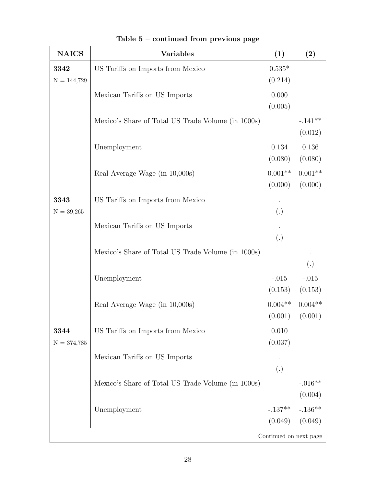| <b>NAICS</b>  | <b>Variables</b>                                   | (1)                    | (2)              |
|---------------|----------------------------------------------------|------------------------|------------------|
| 3342          | US Tariffs on Imports from Mexico                  | $0.535*$               |                  |
| $N = 144,729$ |                                                    | (0.214)                |                  |
|               | Mexican Tariffs on US Imports                      | 0.000                  |                  |
|               |                                                    | (0.005)                |                  |
|               | Mexico's Share of Total US Trade Volume (in 1000s) |                        | $-.141**$        |
|               |                                                    |                        | (0.012)          |
|               | Unemployment                                       | 0.134                  | 0.136            |
|               |                                                    | (0.080)                | (0.080)          |
|               | Real Average Wage (in 10,000s)                     | $0.001**$              | $0.001**$        |
|               |                                                    | (0.000)                | (0.000)          |
| 3343          | US Tariffs on Imports from Mexico                  |                        |                  |
| $N = 39,265$  |                                                    | (.)                    |                  |
|               | Mexican Tariffs on US Imports                      |                        |                  |
|               |                                                    | $\left( .\right)$      |                  |
|               | Mexico's Share of Total US Trade Volume (in 1000s) |                        | $\left(.\right)$ |
|               |                                                    | $-.015$                | $-.015$          |
|               | Unemployment                                       | (0.153)                | (0.153)          |
|               | Real Average Wage (in 10,000s)                     | $0.004**$              | $0.004**$        |
|               |                                                    | (0.001)                | (0.001)          |
| 3344          | US Tariffs on Imports from Mexico                  | 0.010                  |                  |
| $N = 374,785$ |                                                    | (0.037)                |                  |
|               | Mexican Tariffs on US Imports                      |                        |                  |
|               |                                                    | $\left( .\right)$      |                  |
|               | Mexico's Share of Total US Trade Volume (in 1000s) |                        | $-.016**$        |
|               |                                                    |                        | (0.004)          |
|               | Unemployment                                       | $-.137**$              | $-.136**$        |
|               |                                                    | (0.049)                | (0.049)          |
|               |                                                    | Continued on next page |                  |

Table 5 – continued from previous page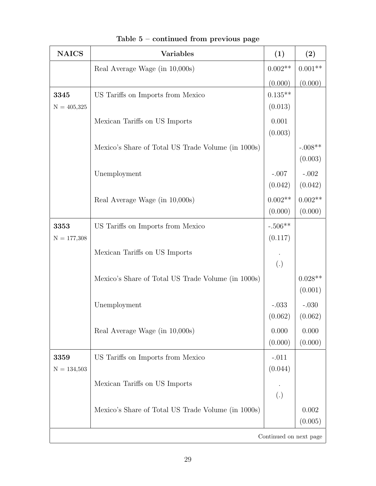| <b>NAICS</b>  | <b>Variables</b>                                   | (1)               | (2)       |  |  |  |  |
|---------------|----------------------------------------------------|-------------------|-----------|--|--|--|--|
|               | Real Average Wage (in 10,000s)                     | $0.002**$         | $0.001**$ |  |  |  |  |
|               |                                                    | (0.000)           | (0.000)   |  |  |  |  |
| 3345          | US Tariffs on Imports from Mexico                  | $0.135**$         |           |  |  |  |  |
| $N = 405,325$ |                                                    | (0.013)           |           |  |  |  |  |
|               | Mexican Tariffs on US Imports                      | 0.001             |           |  |  |  |  |
|               |                                                    | (0.003)           |           |  |  |  |  |
|               | Mexico's Share of Total US Trade Volume (in 1000s) |                   | $-.008**$ |  |  |  |  |
|               |                                                    |                   | (0.003)   |  |  |  |  |
|               | Unemployment                                       | $-.007$           | $-.002$   |  |  |  |  |
|               |                                                    | (0.042)           | (0.042)   |  |  |  |  |
|               | Real Average Wage (in 10,000s)                     | $0.002**$         | $0.002**$ |  |  |  |  |
|               |                                                    | (0.000)           | (0.000)   |  |  |  |  |
| 3353          | US Tariffs on Imports from Mexico                  | $-.506**$         |           |  |  |  |  |
| $N = 177,308$ |                                                    | (0.117)           |           |  |  |  |  |
|               | Mexican Tariffs on US Imports                      |                   |           |  |  |  |  |
|               |                                                    | $\left( .\right)$ |           |  |  |  |  |
|               | Mexico's Share of Total US Trade Volume (in 1000s) |                   | $0.028**$ |  |  |  |  |
|               |                                                    |                   | (0.001)   |  |  |  |  |
|               | Unemployment                                       | $-.033$           | $-.030$   |  |  |  |  |
|               |                                                    | (0.062)           | (0.062)   |  |  |  |  |
|               | Real Average Wage (in 10,000s)                     | 0.000             | 0.000     |  |  |  |  |
|               |                                                    | (0.000)           | (0.000)   |  |  |  |  |
| 3359          | US Tariffs on Imports from Mexico                  | $-.011$           |           |  |  |  |  |
| $N = 134,503$ |                                                    | (0.044)           |           |  |  |  |  |
|               | Mexican Tariffs on US Imports                      |                   |           |  |  |  |  |
|               |                                                    | $\left( .\right)$ |           |  |  |  |  |
|               | Mexico's Share of Total US Trade Volume (in 1000s) |                   | 0.002     |  |  |  |  |
|               |                                                    |                   | (0.005)   |  |  |  |  |
|               | Continued on next page                             |                   |           |  |  |  |  |

Table 5 – continued from previous page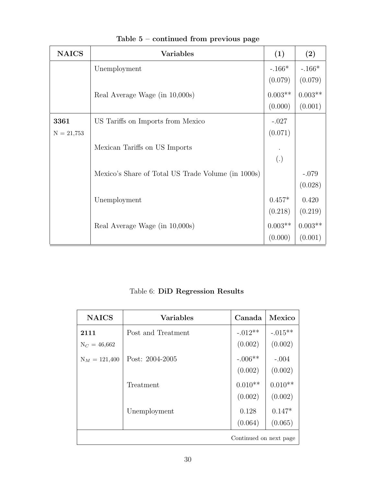| <b>NAICS</b> | <b>Variables</b>                                   | (1)               | (2)       |
|--------------|----------------------------------------------------|-------------------|-----------|
|              | Unemployment                                       | $-.166*$          | $-.166*$  |
|              |                                                    | (0.079)           | (0.079)   |
|              | Real Average Wage (in 10,000s)                     | $0.003**$         | $0.003**$ |
|              |                                                    | (0.000)           | (0.001)   |
| 3361         | US Tariffs on Imports from Mexico                  | $-.027$           |           |
| $N = 21,753$ |                                                    | (0.071)           |           |
|              | Mexican Tariffs on US Imports                      |                   |           |
|              |                                                    | $\left( .\right)$ |           |
|              | Mexico's Share of Total US Trade Volume (in 1000s) |                   | $-.079$   |
|              |                                                    |                   | (0.028)   |
|              | Unemployment                                       | $0.457*$          | 0.420     |
|              |                                                    | (0.218)           | (0.219)   |
|              | Real Average Wage (in 10,000s)                     | $0.003**$         | $0.003**$ |
|              |                                                    | (0.000)           | (0.001)   |

Table 5 – continued from previous page

Table 6: DiD Regression Results

| <b>NAICS</b>           | <b>Variables</b>   | Canada    | Mexico    |
|------------------------|--------------------|-----------|-----------|
| 2111                   | Post and Treatment | $-.012**$ | $-.015**$ |
| $N_C = 46,662$         |                    | (0.002)   | (0.002)   |
| $N_M = 121,400$        | Post: 2004-2005    | $-.006**$ | $-.004$   |
|                        |                    | (0.002)   | (0.002)   |
|                        | Treatment          | $0.010**$ | $0.010**$ |
|                        |                    | (0.002)   | (0.002)   |
|                        | Unemployment       | 0.128     | $0.147*$  |
|                        |                    | (0.064)   | (0.065)   |
| Continued on next page |                    |           |           |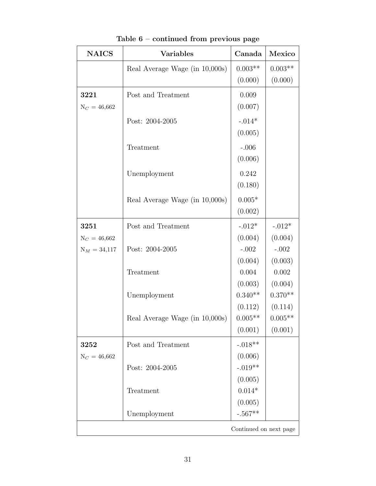| <b>NAICS</b>   | <b>Variables</b>               | Canada                 | Mexico    |
|----------------|--------------------------------|------------------------|-----------|
|                | Real Average Wage (in 10,000s) | $0.003**$              | $0.003**$ |
|                |                                | (0.000)                | (0.000)   |
| 3221           | Post and Treatment             | 0.009                  |           |
| $N_C = 46,662$ |                                | (0.007)                |           |
|                | Post: 2004-2005                | $-.014*$               |           |
|                |                                | (0.005)                |           |
|                | Treatment                      | $-.006$                |           |
|                |                                | (0.006)                |           |
|                | Unemployment                   | 0.242                  |           |
|                |                                | (0.180)                |           |
|                | Real Average Wage (in 10,000s) | $0.005*$               |           |
|                |                                | (0.002)                |           |
| 3251           | Post and Treatment             | $-.012*$               | $-.012*$  |
| $N_C = 46,662$ |                                | (0.004)                | (0.004)   |
| $N_M = 34,117$ | Post: 2004-2005                | $-.002$                | $-.002$   |
|                |                                | (0.004)                | (0.003)   |
|                | Treatment                      | 0.004                  | 0.002     |
|                |                                | (0.003)                | (0.004)   |
|                | Unemployment                   | $0.340**$              | $0.370**$ |
|                |                                | (0.112)                | (0.114)   |
|                | Real Average Wage (in 10,000s) | $0.005**$              | $0.005**$ |
|                |                                | (0.001)                | (0.001)   |
| 3252           | Post and Treatment             | $-.018**$              |           |
| $N_C = 46,662$ |                                | (0.006)                |           |
|                | Post: 2004-2005                | $-.019**$              |           |
|                |                                | (0.005)                |           |
|                | Treatment                      | $0.014*$               |           |
|                |                                | (0.005)                |           |
|                | Unemployment                   | $-.567**$              |           |
|                |                                | Continued on next page |           |

Table 6 – continued from previous page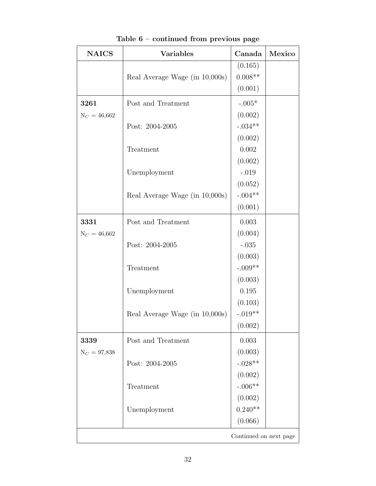| <b>NAICS</b>   | <b>Variables</b>               | Canada                 | Mexico |
|----------------|--------------------------------|------------------------|--------|
|                |                                | (0.165)                |        |
|                | Real Average Wage (in 10,000s) | $0.008**$              |        |
|                |                                | (0.001)                |        |
| 3261           | Post and Treatment             | $-.005*$               |        |
| $N_C = 46,662$ |                                | (0.002)                |        |
|                | Post: 2004-2005                | $-.034**$              |        |
|                |                                | (0.002)                |        |
|                | Treatment                      | 0.002                  |        |
|                |                                | (0.002)                |        |
|                | Unemployment                   | $-.019$                |        |
|                |                                | (0.052)                |        |
|                | Real Average Wage (in 10,000s) | $-.004**$              |        |
|                |                                | (0.001)                |        |
| 3331           | Post and Treatment             | 0.003                  |        |
| $N_C = 46,662$ |                                | (0.004)                |        |
|                | Post: 2004-2005                | $-.035$                |        |
|                |                                | (0.003)                |        |
|                | Treatment                      | $-.009**$              |        |
|                |                                | (0.003)                |        |
|                | Unemployment                   | 0.195                  |        |
|                |                                | (0.103)                |        |
|                | Real Average Wage (in 10,000s) | $-.019**$              |        |
|                |                                | (0.002)                |        |
| 3339           | Post and Treatment             | 0.003                  |        |
| $N_C = 97,838$ |                                | (0.003)                |        |
|                | Post: 2004-2005                | $-.028**$              |        |
|                |                                | (0.002)                |        |
|                | Treatment                      | $-.006**$              |        |
|                |                                | (0.002)                |        |
|                | Unemployment                   | $0.240**$              |        |
|                |                                | (0.066)                |        |
|                |                                | Continued on next page |        |

Table 6 – continued from previous page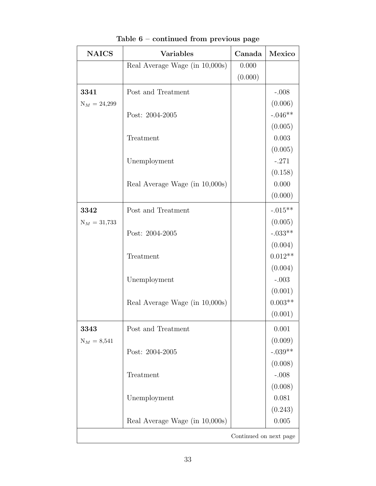| <b>NAICS</b>           | <b>Variables</b>               | Canada  | Mexico    |
|------------------------|--------------------------------|---------|-----------|
|                        | Real Average Wage (in 10,000s) | 0.000   |           |
|                        |                                | (0.000) |           |
| 3341                   | Post and Treatment             |         | $-.008$   |
| $N_M = 24,299$         |                                |         | (0.006)   |
|                        | Post: 2004-2005                |         | $-.046**$ |
|                        |                                |         | (0.005)   |
|                        | Treatment                      |         | 0.003     |
|                        |                                |         | (0.005)   |
|                        | Unemployment                   |         | $-.271$   |
|                        |                                |         | (0.158)   |
|                        | Real Average Wage (in 10,000s) |         | 0.000     |
|                        |                                |         | (0.000)   |
| 3342                   | Post and Treatment             |         | $-.015**$ |
| $N_M = 31,733$         |                                |         | (0.005)   |
|                        | Post: 2004-2005                |         | $-.033**$ |
|                        |                                |         | (0.004)   |
|                        | Treatment                      |         | $0.012**$ |
|                        |                                |         | (0.004)   |
|                        | Unemployment                   |         | $-.003$   |
|                        |                                |         | (0.001)   |
|                        | Real Average Wage (in 10,000s) |         | $0.003**$ |
|                        |                                |         | (0.001)   |
| 3343                   | Post and Treatment             |         | 0.001     |
| $N_M = 8,541$          |                                |         | (0.009)   |
|                        | Post: 2004-2005                |         | $-.039**$ |
|                        |                                |         | (0.008)   |
|                        | Treatment                      |         | $-.008$   |
|                        |                                |         | (0.008)   |
|                        | Unemployment                   |         | 0.081     |
|                        |                                |         | (0.243)   |
|                        | Real Average Wage (in 10,000s) |         | 0.005     |
| Continued on next page |                                |         |           |

| Table $6$ – continued from previous page |  |  |  |
|------------------------------------------|--|--|--|
|------------------------------------------|--|--|--|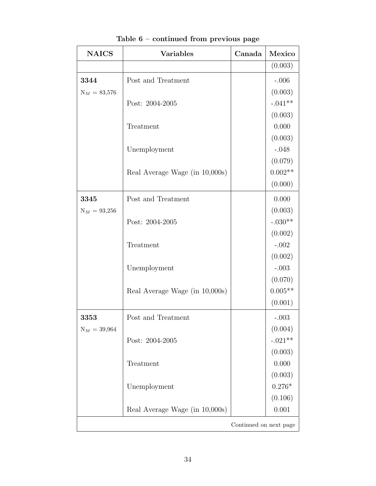| <b>NAICS</b>           | <b>Variables</b>               | Canada | Mexico    |
|------------------------|--------------------------------|--------|-----------|
|                        |                                |        | (0.003)   |
| 3344                   | Post and Treatment             |        | $-.006$   |
| $N_M = 83,576$         |                                |        | (0.003)   |
|                        | Post: 2004-2005                |        | $-.041**$ |
|                        |                                |        | (0.003)   |
|                        | Treatment                      |        | 0.000     |
|                        |                                |        | (0.003)   |
|                        | Unemployment                   |        | $-.048$   |
|                        |                                |        | (0.079)   |
|                        | Real Average Wage (in 10,000s) |        | $0.002**$ |
|                        |                                |        | (0.000)   |
| 3345                   | Post and Treatment             |        | 0.000     |
| $N_M = 93,256$         |                                |        | (0.003)   |
|                        | Post: 2004-2005                |        | $-.030**$ |
|                        |                                |        | (0.002)   |
|                        | Treatment                      |        | $-.002$   |
|                        |                                |        | (0.002)   |
|                        | Unemployment                   |        | $-.003$   |
|                        |                                |        | (0.070)   |
|                        | Real Average Wage (in 10,000s) |        | $0.005**$ |
|                        |                                |        | (0.001)   |
| 3353                   | Post and Treatment             |        | $-.003$   |
| $N_M = 39,964$         |                                |        | (0.004)   |
|                        | Post: 2004-2005                |        | $-.021**$ |
|                        |                                |        | (0.003)   |
|                        | Treatment                      |        | 0.000     |
|                        |                                |        | (0.003)   |
|                        | Unemployment                   |        | $0.276*$  |
|                        |                                |        | (0.106)   |
|                        | Real Average Wage (in 10,000s) |        | 0.001     |
| Continued on next page |                                |        |           |

Table 6 – continued from previous page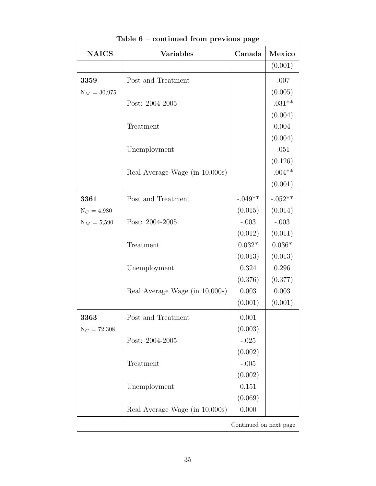| <b>NAICS</b>           | <b>Variables</b>               | Canada    | Mexico    |
|------------------------|--------------------------------|-----------|-----------|
|                        |                                |           | (0.001)   |
| 3359                   | Post and Treatment             |           | $-.007$   |
| $N_M = 30,975$         |                                |           | (0.005)   |
|                        | Post: 2004-2005                |           | $-.031**$ |
|                        |                                |           | (0.004)   |
|                        | Treatment                      |           | 0.004     |
|                        |                                |           | (0.004)   |
|                        | Unemployment                   |           | $-.051$   |
|                        |                                |           | (0.126)   |
|                        | Real Average Wage (in 10,000s) |           | $-.004**$ |
|                        |                                |           | (0.001)   |
| 3361                   | Post and Treatment             | $-.049**$ | $-.052**$ |
| $N_C = 4,980$          |                                | (0.015)   | (0.014)   |
| $N_M = 5,590$          | Post: 2004-2005                | $-.003$   | $-.003$   |
|                        |                                | (0.012)   | (0.011)   |
|                        | Treatment                      | $0.032*$  | $0.036*$  |
|                        |                                | (0.013)   | (0.013)   |
|                        | Unemployment                   | 0.324     | 0.296     |
|                        |                                | (0.376)   | (0.377)   |
|                        | Real Average Wage (in 10,000s) | 0.003     | 0.003     |
|                        |                                | (0.001)   | (0.001)   |
| 3363                   | Post and Treatment             | 0.001     |           |
| $N_C = 72,308$         |                                | (0.003)   |           |
|                        | Post: 2004-2005                | $-.025$   |           |
|                        |                                | (0.002)   |           |
|                        | Treatment                      | $-.005$   |           |
|                        |                                | (0.002)   |           |
|                        | Unemployment                   | 0.151     |           |
|                        |                                | (0.069)   |           |
|                        | Real Average Wage (in 10,000s) | 0.000     |           |
| Continued on next page |                                |           |           |

Table 6 – continued from previous page